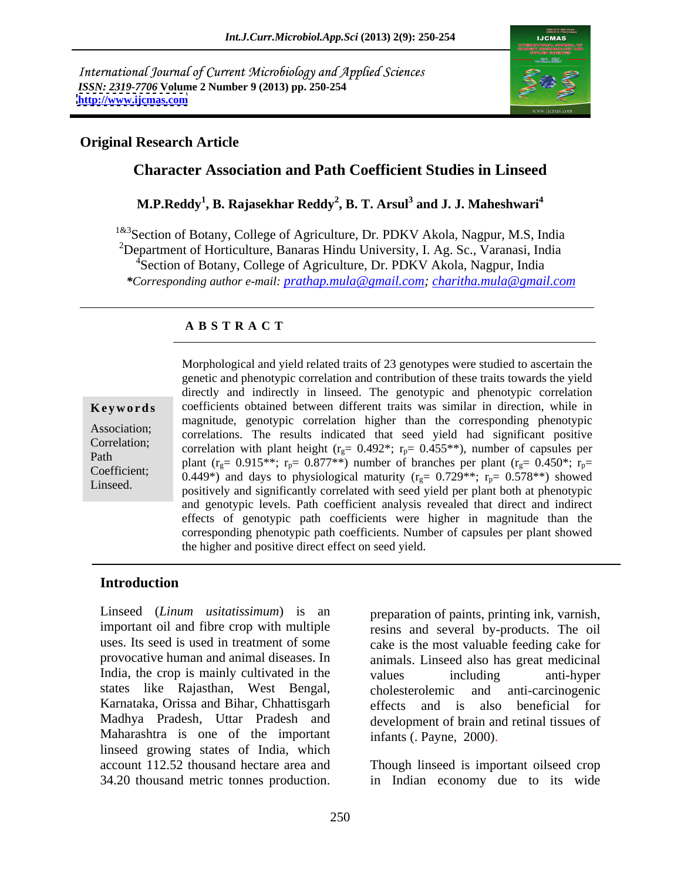International Journal of Current Microbiology and Applied Sciences *ISSN: 2319-7706* **Volume 2 Number 9 (2013) pp. 250-254 <http://www.ijcmas.com>**



#### **Original Research Article**

### **Character Association and Path Coefficient Studies in Linseed**

#### $\mathbf{M}.\mathbf{P}.\mathbf{Reddy}^1,\mathbf{B}.\mathbf{R}$ ajasekhar  $\mathbf{Reddy}^2,\mathbf{B}.\mathbf{T}.\mathbf{Arsul}^3$  and  $\mathbf{J}.\mathbf{J}.\mathbf{M}aheshwari^4$  **and J. J. Maheshwari<sup>4</sup>**

<sup>1&3</sup>Section of Botany, College of Agriculture, Dr. PDKV Akola, Nagpur, M.S, India <sup>2</sup>Department of Horticulture, Banaras Hindu University, I. Ag. Sc., Varanasi, India <sup>4</sup>Section of Botany, College of Agriculture, Dr. PDKV Akola, Nagpur, India *\*Corresponding author e-mail: prathap.mula@gmail.com; charitha.mula@gmail.com*

#### **A B S T R A C T**

laturity  $(1g - 0.729)$ ,  $1p - 0.376$  ) showed **Keywords** coefficients obtained between different traits was similar in direction, while in Association; correlations. The results indicated that seed yield had significant positive Correlation; correlation with plant height  $(r_g = 0.492^*; r_p = 0.455^{**})$ , number of capsules per Path<br>
plant  $(r_g= 0.915**; r_p= 0.877**)$  number of branches per plant  $(r_g= 0.450*; r_p= 0.449*)$  and days to physiological maturity  $(r_g= 0.729***; r_p= 0.578**)$  showed Coefficient;  $0.440*$  and days to physiological maturity  $(r = 0.720**; r = 0.578**)$  showed Morphological and yield related traits of 23 genotypes were studied to ascertain the<br>
genetic and phenotypic correlation and contribution of these traits towards the yield<br>
directly and indirectly in linseed. The genotypi genetic and phenotypic correlation and contribution of these traits towards the yield directly and indirectly in linseed. The genotypic and phenotypic correlation magnitude, genotypic correlation higher than the corresponding phenotypic positively and significantly correlated with seed yield per plant both at phenotypic and genotypic levels. Path coefficient analysis revealed that direct and indirect effects of genotypic path coefficients were higher in magnitude than the corresponding phenotypic path coefficients. Number of capsules per plant showed the higher and positive direct effect on seed yield.

#### **Introduction**

Linseed (*Linum usitatissimum*) is an preparation of paints, printing ink, varnish, India, the crop is mainly cultivated in the values including anti-hyper states like Rajasthan, West Bengal, Karnataka, Orissa and Bihar, Chhattisgarh Maharashtra is one of the important linseed growing states of India, which account 112.52 thousand hectare area and Though linseed is important oilseed crop

important oil and fibre crop with multiple resins and several by-products. The oil uses. Its seed is used in treatment of some cake is the most valuable feeding cake for provocative human and animal diseases. In animals. Linseed also has great medicinal Madhya Pradesh, Uttar Pradesh and development of brain and retinal tissues of values including anti-hyper cholesterolemic and anti-carcinogenic effects and is also beneficial for infants (. Payne, 2000).

34.20 thousand metric tonnes production. in Indian economy due to its wide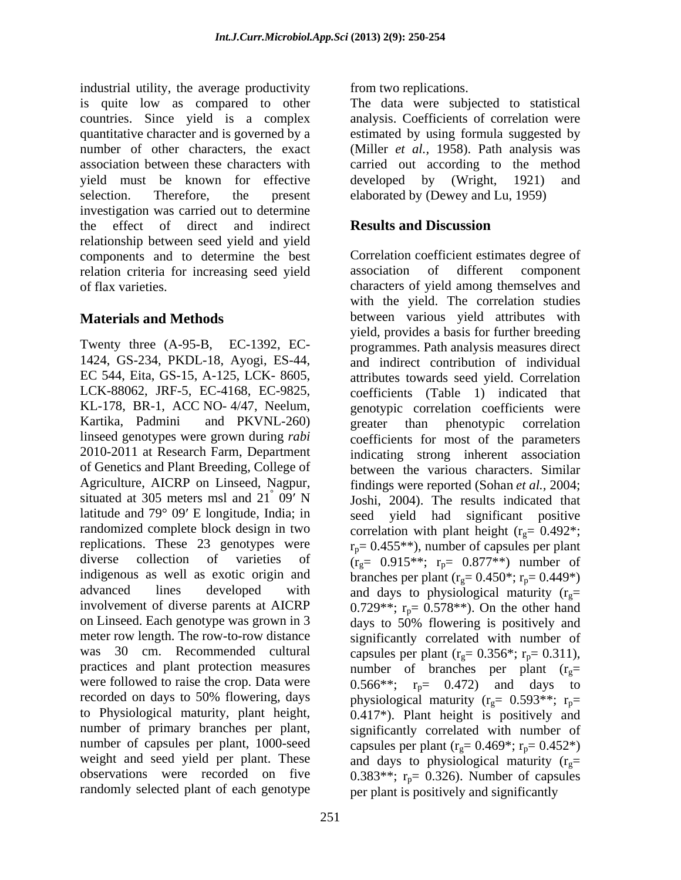industrial utility, the average productivity is quite low as compared to other countries. Since yield is a complex quantitative character and is governed by a estimated by using formula suggested by number of other characters, the exact (Miller *et al.*, 1958). Path analysis was association between these characters with carried out according to the method yield must be known for effective developed by (Wright, 1921) and selection. Therefore, the present elaborated by (Dewey and Lu, 1959) investigation was carried out to determine the effect of direct and indirect **Results and Discussion** relationship between seed yield and yield components and to determine the best relation criteria for increasing seed yield

Twenty three (A-95-B, EC-1392, EC- EC 544, Eita, GS-15, A-125, LCK- 8605, LCK-88062, JRF-5, EC-4168, EC-9825, KL-178, BR-1, ACC NO- 4/47, Neelum, Agriculture, AICRP on Linseed, Nagpur, latitude and  $79^{\circ}$  09' E longitude, India; in meter row length. The row-to-row distance was 30 cm. Recommended cultural capsules per plant  $(r<sub>e</sub>= 0.356^*; r<sub>p</sub>= 0.311)$ , practices and plant protection measures mumber of branches per plant  $(r<sub>e</sub>=$ randomly selected plant of each genotype per plant is positively and significantly

from two replications.

The data were subjected to statistical analysis. Coefficients of correlation were developed by (Wright,

## **Results and Discussion**

of flax varieties. characters of yield among themselves and **Materials and Methods between** various yield attributes with 1424, GS-234, PKDL-18, Ayogi, ES-44, and indirect contribution of individual Kartika, Padmini and PKVNL-260) linseed genotypes were grown during *rabi* coefficients for most of the parameters 2010-2011 at Research Farm, Department indicating strong inherent association of Genetics and Plant Breeding, College of between the various characters. Similar situated at 305 meters msl and  $21^{\degree}$  09' N  $\qquad$  Joshi, 2004). The results indicated that randomized complete block design in two correlation with plant height  $(r_g=0.492^*;$ replications. These 23 genotypes were  $r_p= 0.455**$ ), number of capsules per plant diverse collection of varieties of  $(r_g= 0.915**; r_p= 0.877**)$  number of indigenous as well as exotic origin and branches per plant  $(r_g= 0.450^*; r_p= 0.449^*)$ advanced lines developed with and days to physiological maturity  $(r_g=$ involvement of diverse parents at AICRP  $0.729**$ ;  $r_p= 0.578**$ ). On the other hand on Linseed. Each genotype was grown in 3 days to 50% flowering is positively and were followed to raise the crop. Data were  $0.566**;$   $r_p = 0.472$  and days to recorded on days to 50% flowering, days physiological maturity ( $r_g$ = 0.593\*\*;  $r_p$ = to Physiological maturity, plant height, 0.417\*). Plant height is positively and number of primary branches per plant, significantly correlated with number of number of capsules per plant, 1000-seed capsules per plant  $(r<sub>o</sub>= 0.469<sup>*</sup>; r<sub>n</sub>= 0.452<sup>*</sup>)$ weight and seed yield per plant. These and days to physiological maturity  $(r_g=$ observations were recorded on five  $0.383**$ ;  $r_p=0.326$ ). Number of capsules Correlation coefficient estimates degree of of different component with the yield. The correlation studies yield, provides a basis for further breeding programmes. Path analysis measures direct attributes towards seed yield. Correlation coefficients (Table 1) indicated that genotypic correlation coefficients were greater than phenotypic correlation findings were reported (Sohan *et al.,* 2004; seed yield had significant positive significantly correlated with number of capsules per plant (r<sub>g</sub>= 0.356\*; r<sub>p</sub>= 0.311),<br>number of branches per plant (r<sub>g</sub>= significantly correlated with number of capsules per plant ( $r_g$ = 0.469<sup>\*</sup>;  $r_p$ = 0.452<sup>\*</sup>)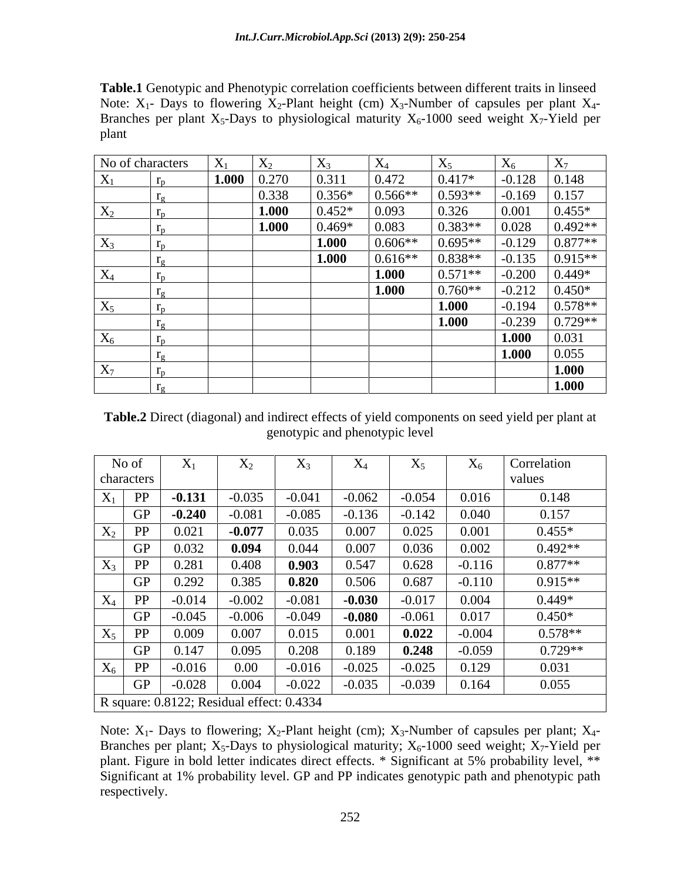**Table.1** Genotypic and Phenotypic correlation coefficients between different traits in linseed Note:  $X_1$ - Days to flowering  $X_2$ -Plant height (cm)  $X_3$ -Number of capsules per plant  $X_4$ -Branches per plant  $X_5$ -Days to physiological maturity  $X_6$ -1000 seed weight  $X_7$ -Yield per plant that the contract of the contract of the contract of the contract of the contract of the contract of the contract of the contract of the contract of the contract of the contract of the contract of the contract of the

|                            | No of characters | $X_1$ | $X_2$ | $X_3$    | $\rm X$   | $\mathbf{A}$ 5 | $\Lambda$ 6 | $X_7$      |
|----------------------------|------------------|-------|-------|----------|-----------|----------------|-------------|------------|
| $X_1$                      | $r_{\rm p}$      | 1.000 | 0.270 | 0.311    | 0.472     | $0.417*$       | $-0.128$    | 0.148      |
|                            |                  |       | 0.338 | $0.356*$ | $0.566**$ | $0.593**$      | $-0.169$    | 0.157      |
| $X_2$                      |                  |       | 1.000 | $0.452*$ | 0.093     | 0.326          | 0.00        | $0.455*$   |
|                            |                  |       | 1.000 | $0.469*$ | 0.083     | $0.383**$      | 0.028       | $0.492**$  |
| $X_3$                      |                  |       |       | 1.000    | $0.606**$ | $0.695**$      | $-0.129$    | $0.877**$  |
|                            |                  |       |       | 1.000    | $0.616**$ | $0.838**$      | $-0.135$    | $0.915**$  |
| $X_4$<br><u>experience</u> |                  |       |       |          | 1.000     | $0.571**$      | $-0.200$    | $0.449*$   |
|                            | $\overline{a}$   |       |       |          | 1.000     | $0.760**$      | $-0.212$    | $0.450*$   |
| $X_5$                      | 1 <sub>n</sub>   |       |       |          |           | 1.000          | $-0.194$    | $0.578**$  |
|                            |                  |       |       |          |           | 1.000          | $-0.239$    | $10.729**$ |
| $X_6$                      |                  |       |       |          |           |                | 1.000       | 0.031      |
|                            |                  |       |       |          |           |                | 1.000       | 0.055      |
| $X_7$                      |                  |       |       |          |           |                |             | 1.000      |
|                            |                  |       |       |          |           |                |             | 1.000      |

**Table.2** Direct (diagonal) and indirect effects of yield components on seed yield per plant at genotypic and phenotypic level

|                                           | No of      | $\mathbf{x}$<br>$X_1$ | $X_2$    | $\Lambda$ 3 | $\Lambda_4$ | $X_5$    | $X_6$    | Correlation |
|-------------------------------------------|------------|-----------------------|----------|-------------|-------------|----------|----------|-------------|
|                                           | characters |                       |          |             |             |          |          | values      |
| $X_1$                                     | PP         | $-0.131$              | $-0.035$ | $-0.041$    | $-0.062$    | $-0.054$ | 0.016    | 0.148       |
|                                           | GP         | $-0.240$              | $-0.081$ | $-0.085$    | $-0.136$    | $-0.142$ | 0.040    | 0.157       |
| $X_2$                                     | PP         | 0.021                 | $-0.077$ | 0.035       | 0.007       | 0.025    | 0.001    | $0.455*$    |
|                                           | <b>GP</b>  | 0.032                 | 0.094    | 0.044       | 0.007       | 0.036    | 0.002    | $0.492**$   |
| $X_3$                                     | PP         | 0.281                 | 0.408    | 0.903       | 0.547       | 0.628    | $-0.116$ | $0.877**$   |
|                                           | <b>GP</b>  | 0.292                 | 0.385    | 0.820       | 0.506       | 0.687    | $-0.110$ | $0.915**$   |
| $X_4$                                     | PP         | $-0.014$              | $-0.002$ | $-0.081$    | $-0.030$    | $-0.017$ | 0.004    | $0.449*$    |
|                                           | GP         | $-0.045$              | $-0.006$ | $-0.049$    | $-0.080$    | $-0.061$ | 0.017    | $0.450*$    |
| $X_5$                                     | PP         | 0.009                 | 0.007    | 0.015       | 0.001       | 0.022    | $-0.004$ | $0.578**$   |
|                                           | <b>GP</b>  | 0.147                 | 0.095    | 0.208       | 0.189       | 0.248    | $-0.059$ | $0.729**$   |
| $X_6$                                     | PP         | $-0.016$              | 0.00     | $-0.016$    | $-0.025$    | $-0.025$ | 0.129    | 0.031       |
|                                           | GP         | $-0.028$              | 0.004    | $-0.022$    | $-0.035$    | $-0.039$ | 0.164    | 0.055       |
| R square: 0.8122; Residual effect: 0.4334 |            |                       |          |             |             |          |          |             |

Note:  $X_1$ - Days to flowering;  $X_2$ -Plant height (cm);  $X_3$ -Number of capsules per plant;  $X_4$ -Branches per plant;  $X_5$ -Days to physiological maturity;  $X_6$ -1000 seed weight;  $X_7$ -Yield per plant. Figure in bold letter indicates direct effects. \* Significant at 5% probability level, \*\* Significant at 1% probability level. GP and PP indicates genotypic path and phenotypic path respectively.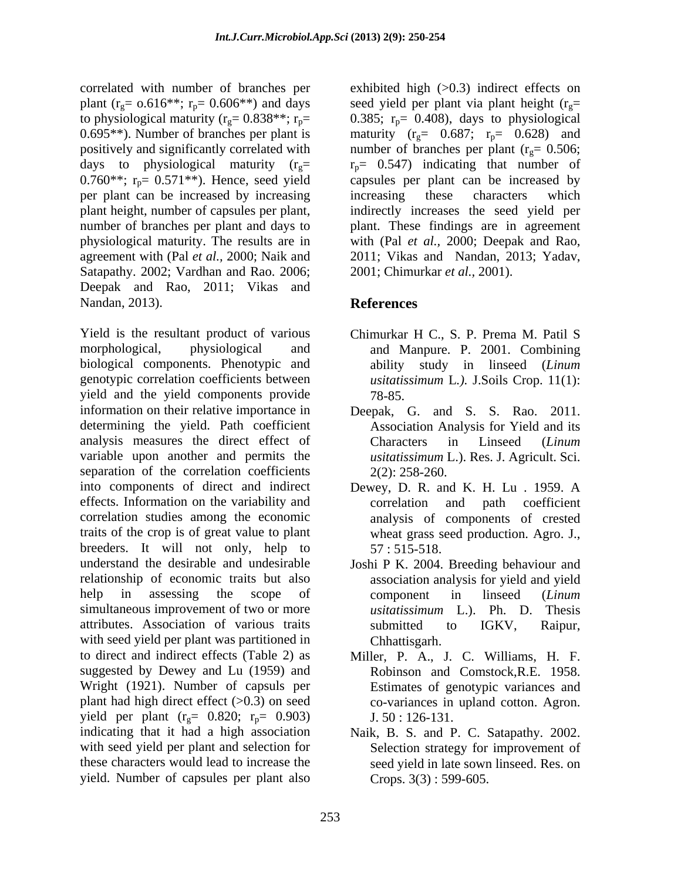correlated with number of branches per plant (r<sub>g</sub>=  $0.616**$ ; r<sub>p</sub>=  $0.606**$ ) and days<br>to physiological maturity (r<sub>g</sub>=  $0.838**$ ; r<sub>p</sub>= to physiological maturity ( $r_g = 0.838**; r_p = 0.385; r_p = 0.408$ ), days to physiological 0.695<sup>\*\*</sup>). Number of branches per plant is maturity ( $r_g$  = 0.687;  $r_p$  = 0.628) and positively and significantly correlated with mumber of branches per plant  $(r<sub>g</sub>= 0.506;$ days to physiological maturity ( $r_g$ =  $r_p$ = 0.547) indicating that number of 0.760\*\*;  $r_p = 0.571**$ ). Hence, seed yield per plant can be increased by increasing increasing these characters which plant height, number of capsules per plant, number of branches per plant and days to plant. These findings are in agreement physiological maturity. The results are in with (Pal *et al.,* 2000; Deepak and Rao, agreement with (Pal *et al.,* 2000; Naik and 2011; Vikas and Nandan, 2013; Yadav, Satapathy. 2002; Vardhan and Rao. 2006; Deepak and Rao, 2011; Vikas and Nandan, 2013). **References** 

Yield is the resultant product of various Chimurkar H C., S. P. Prema M. Patil S morphological, physiological and and Manpure. P. 2001. Combining biological components. Phenotypic and genotypic correlation coefficients between yield and the yield components provide  $78-85$ . information on their relative importance in Deepak, G. and S. S. Rao. 2011. determining the yield. Path coefficient Association Analysis for Yield and its analysis measures the direct effect of Characters in Linseed (Linum variable upon another and permits the separation of the correlation coefficients  $2(2)$ : 258-260. into components of direct and indirect Dewey, D. R. and K. H. Lu . 1959. A effects. Information on the variability and correlation and path coefficient correlation studies among the economic analysis of components of crested traits of the crop is of great value to plant breeders. It will not only, help to 57:515-518. understand the desirable and undesirable Joshi P K. 2004. Breeding behaviour and relationship of economic traits but also help in assessing the scope of component in linseed (*Linum* simultaneous improvement of two or more *usitatissimum* L.). Ph. D. Thesis attributes. Association of various traits with seed yield per plant was partitioned in to direct and indirect effects (Table 2) as Miller, P. A., J. C. Williams, H. F. suggested by Dewey and Lu (1959) and Robinson and Comstock,R.E. 1958. Wright (1921). Number of capsuls per plant had high direct effect  $(>0.3)$  on seed yield per plant  $(r_g= 0.820; r_p= 0.903)$  J. 50 : 126-131. indicating that it had a high association Naik, B. S. and P. C. Satapathy. 2002. with seed yield per plant and selection for Selection strategy for improvement of these characters would lead to increase the seed yield in late sown linseed. Res. on yield. Number of capsules per plant also

exhibited high  $(>0.3)$  indirect effects on seed yield per plant via plant height ( $r_g$ = capsules per plant can be increased by increasing these characters which indirectly increases the seed yield per 2001; Chimurkar *et al.,* 2001).

# **References**

- ability study in linseed (*Linum usitatissimum* L*.).* J.Soils Crop. 11(1): 78-85.
- Characters in Linseed (*Linum usitatissimum* L.). Res. J. Agricult. Sci. 2(2): 258-260.
- correlation and path coefficient wheat grass seed production. Agro. J., 57 : 515-518.
- association analysis for yield and yield component in linseed (*Linum usitatissimum* L.). Ph. D. Thesis submitted to IGKV, Raipur, Chhattisgarh.
- Estimates of genotypic variances and co-variances in upland cotton. Agron. J. 50 : 126-131.
- Crops. 3(3) : 599-605.